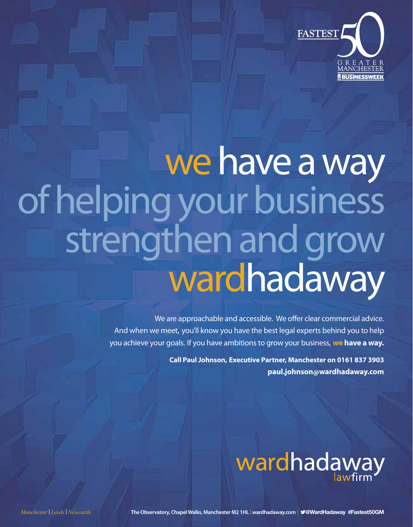

# we have a way of helping your business strengthen and grow wardhadaway

We are approachable and accessible. We offer clear commercial advice. And when we meet, you'll know you have the best legal experts behind you to help you achieve your goals. If you have ambitions to grow your business, **we have a way.**

> **Call Paul Johnson, Executive Partner, Manchester on 0161 837 3903 paul.johnson@wardhadaway.com**

# wardhadaway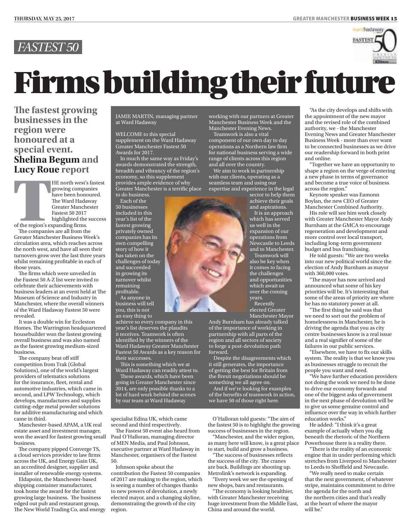

## Firms building their future

**The fastest growing businesses in the region were honoured at a special event. Shelina Begum and Lucy Roue report**

**Example 18 Deguint and Lucy Roue report**<br>
HE north west's fastest<br>
growing companies<br>
have been honoured.<br>
The Ward Hadaway<br>
Greater Manchester<br>
Fastest 50 2017<br>
highlighted the success growing companies have been honoured. The Ward Hadaway Greater Manchester Fastest 50 2017 highlighted the success

of the region's expanding firms.

The companies are all from the Greater Manchester Business Week's circulation area, which reaches across the north west, and have all seen their turnovers grow over the last three years whilst remaining profitable in each of those years.

The firms which were unveiled in the Fastest 50 A-Z list were invited to celebrate their achievements with business leaders at an event held at The Museum of Science and Industry in Manchester, where the overall winners of the Ward Hadaway Fastest 50 were revealed.

It was a double win for Eccleston Homes. The Warrington headquartered housebuilder won the fastest growing overall business and was also named as the fastest growing medium-sized business.

The company beat off stiff competition from Trak (Global Solutions), one of the world's largest providers of telematics solutions for the insurance, fleet, rental and automotive industries, which came in second, and LPW Technology, which develops, manufactures and supplies cutting-edge metal powder solutions for additive manufacturing and which came in third.

Manchester-based APAM, a UK real estate asset and investment manager, won the award for fastest growing small business.

The company pipped Converge TS, a cloud services provider to law firms across the UK, and Energy Gain UK, an accredited designer, supplier and installer of renewable energy systems.

Eldapoint, the Manchester-based shipping container manufacturer, took home the award for the fastest growing large business. The business edged out pub and restaurant group, The New World Trading Co, and energy JAMIE MARTIN, managing partner at Ward Hadaway

WELCOME to this special supplement on the Ward Hadaway Greater Manchester Fastest 50 Awards for 2017.

In much the same way as Friday's awards demonstrated the strength, breadth and vibrancy of the region's economy, so this supplement provides ample evidence of why Greater Manchester is a terrific place to do business.

Each of the 50 businesses included in this year's list of the fastest growing privately owned companies has its own compelling story of how it has taken on the challenges of today and succeeded in growing its turnover whilst remaining profitable. As anyone in

business will tell you, this is not an easy thing to

achieve so every company in this year's list deserves the plaudits it receives. Teamwork is often identified by the winners of the Ward Hadaway Greater Manchester Fastest 50 Awards as a key reason for their successes.

This is something which we at Ward Hadaway can readily attest to.

These awards, which have been going in Greater Manchester since 2014, are only possible thanks to a lot of hard work behind the scenes by our team at Ward Hadaway

specialist Edina UK, which came second and third respectively.

The Fastest 50 event also heard from Paul O'Halloran, managing director of MEN Media, and Paul Johnson, executive partner at Ward Hadaway in Manchester, organisers of the Fastest 50.

Johnson spoke about the contribution the Fastest 50 companies of 2017 are making to the region, which is seeing a number of changes thanks to new powers of devolution, a newly elected mayor, and a changing skyline, demonstrating the growth of the city region.

working with our partners at Greater Manchester Business Week and the Manchester Evening News.

Teamwork is also a vital component of our own day to day operations as a Northern law firm for national business serving a wide range of clients across this region and all over the country.

We aim to work in partnership with our clients, operating as a seamless team and using our expertise and experience in the legal

sector to help them achieve their goals and aspirations.

It is an approach which has served us well in the expansion of our operations from Newcastle to Leeds and to Manchester. Teamwork will

also be key when it comes to facing the challenges and opportunities which await us over the coming years. Recently

elected Greater Manchester Mayor

Andy Burnham has already talked of the importance of working in partnership with all parts of the region and all sectors of society to forge a post-devolution path forward.

Despite the disagreements which it still generates, the importance of getting the best for Britain from the Brexit negotiations should be something we all agree on.

And if we're looking for examples of the benefits of teamwork in action, we have 50 of those right here.

O'Halloran told guests: "The aim of the fastest 50 is to highlight the growing success of businesses in the region.

"Manchester, and the wider region, as many here will know, is a great place to start, build and grow a business.

"The success of businesses reflects the success of the city. The cranes are back. Buildings are shooting up. Metrolink's network is expanding.

"Every week we see the opening of new shops, bars and restaurants.

"The economy is looking healthier, with Greater Manchester receiving huge investment from the Middle East, China and around the world.

"As the city develops and shifts with the appointment of the new mayor and the revised role of the combined authority, we - the Manchester Evening News and Greater Manchester Business Week - more than ever want to be connected businesses as we drive our readership forward in both print and online.

Together we have an opportunity to shape a region on the verge of entering a new phase in terms of governance and become a true voice of business across the region."

Keynote speaker was Eamonn Boylan, the new CEO of Greater Manchester Combined Authority.

His role will see him work closely with Greater Manchester Mayor Andy Burnham at the GMCA to encourage regeneration and development and more control over local transport, including long-term government budget and bus franchising.

He told guests: "We are two weeks into our new political world since the election of Andy Burnham as mayor with 360,000 votes.

"The mayor has now arrived and announced what some of his key priorities will be. It's interesting that some of the areas of priority are where he has no statutory power at all.

"The first thing he said was that we need to sort out the problem of homelessness in Manchester, he is driving the agenda that you as city centre businesses know is a real issue and a real signifier of some of the failures in our public services.

"Elsewhere, we have to fix our skills system. The reality is that we know you as businesses struggle to recruit the people you want and need.

We have further education providers not doing the work we need to be done to drive our economy forwards and one of the biggest asks of government in the next phase of devolution will be to give us some genuine control and influence over the way in which further education works."

He added: "I think it's a great example of actually when you dig beneath the rhetoric of the Northern Powerhouse there is a reality there.

"There is the reality of an economic engine that in under performing which stretches from Liverpool to Manchester to Leeds to Sheffield and Newcastle.

"We really need to make certain that the next government, of whatever stripe, maintains commitment to drive the agenda for the north and the northern cities and that's really at the heart of where the mayor will be."

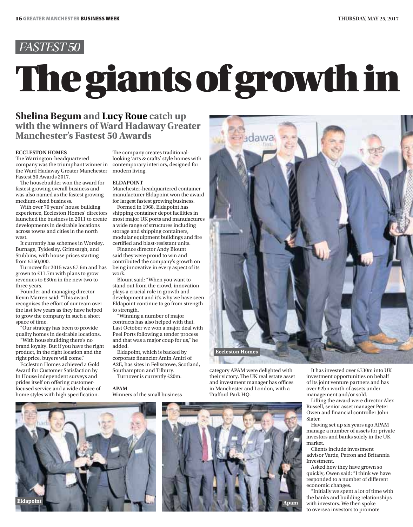# **Shelina Begum and Lucy Roue catch up**<br>with the winners of Ward Hadaway Greater

## **Shelina Begum and Lucy Roue catch up Manchester's Fastest 50 Awards**

### ECCLESTON HOMES

The Warrington-headquartered company was the triumphant winner in the Ward Hadaway Greater Manchester modern living. Fastest 50 Awards 2017.

The housebuilder won the award for fastest growing overall business and was also named as the fastest growing medium-sized business.

With over 70 years' house building experience, Eccleston Homes' directors launched the business in 2011 to create developments in desirable locations across towns and cities in the north west.

It currently has schemes in Worsley, Burnage, Tyldesley, Grimsargh, and Stubbins, with house prices starting from £150,000.

Turnover for 2015 was £7.6m and has grown to £11.7m with plans to grow revenues to £30m in the new two to three years.

Founder and managing director Kevin Marren said: "This award recognises the effort of our team over the last few years as they have helped to grow the company in such a short space of time.

"Our strategy has been to provide quality homes in desirable locations.

"With housebuilding there's no brand loyalty. But if you have the right product, in the right location and the right price, buyers will come."

Eccleston Homes achieved a Gold Award for Customer Satisfaction by In House independent surveys and prides itself on offering customerfocused service and a wide choice of home styles with high specification.

The company creates traditionallooking 'arts & crafts' style homes with contemporary interiors, designed for

### ELDAPOINT

Manchester-headquartered container manufacturer Eldapoint won the award for largest fastest growing business.

Formed in 1968, Eldapoint has shipping container depot facilities in most major UK ports and manufactures a wide range of structures including storage and shipping containers, modular equipment buildings and fire certified and blast-resistant units.

Finance director Andy Blount said they were proud to win and contributed the company's growth on being innovative in every aspect of its work.

Blount said: "When you want to stand out from the crowd, innovation plays a crucial role in growth and development and it's why we have seen Eldapoint continue to go from strength to strength.

"Winning a number of major contracts has also helped with that. Last October we won a major deal with Peel Ports following a tender process and that was a major coup for us," he added.

Eldapoint, which is backed by corporate financier Amin Amiri of A2E, has sites in Felixstowe, Scotland, Southampton and Tilbury. Turnover is currently £20m.

APAM

Winners of the small business



category APAM were delighted with their victory. The UK real estate asset and investment manager has offices in Manchester and London, with a Trafford Park HQ.

**Eldapoint**



It has invested over £730m into UK investment opportunities on behalf of its joint venture partners and has over £2bn worth of assets under management and/or sold.

Lifting the award were director Alex Russell, senior asset manager Peter Owen and financial controller John Slater.

Having set up six years ago APAM manage a number of assets for private investors and banks solely in the UK market.

Clients include investment advisor Varde, Patron and Britannia Investment.

Asked how they have grown so quickly, Owen said: "I think we have responded to a number of different economic changes.

"Initially we spent a lot of time with the banks and building relationships with investors. We then spoke to oversea investors to promote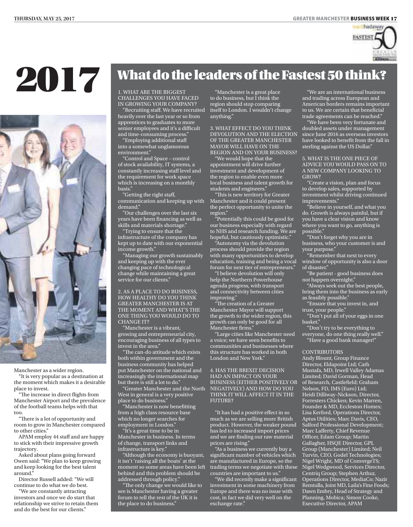

## 2017



Manchester as a wider region.

"It is very popular as a destination at the moment which makes it a desirable place to invest.

"The increase in direct flights from Manchester Airport and the prevalence of the football teams helps with that too.

"There is a lot of opportunity and room to grow in Manchester compared to other cities."

APAM employ 44 staff and are happy to stick with their impressive growth trajectory.

Asked about plans going forward Owen said: "We plan to keep growing and keep looking for the best talent around."

Director Russell added: "We will continue to do what we do best.

"We are constantly attracting investors and once we do start that relationship we strive to retain them and do the best for our clients."

## What do the leaders of the Fastest 50 think?

1. WHAT ARE THE BIGGEST<br>CHALLENGES YOU HAVE FACED IN GROWING YOUR COMPANY?

"Recruiting staff. We have recruited heavily over the last year or so from apprentices to graduates to more senior employees and it's a difficult

and time-consuming process." "Employing additional staff into a somewhat unglamorous environment."

"Control and Space – control of stock availability, IT systems, a constantly increasing staff level and the requirement for work space which is increasing on a monthly basis."

"Getting the right staff, communication and keeping up with demand."

"Our challenges over the last six years have been financing as well as skills and materials shortage."

"Trying to ensure that the infrastructure of the company has kept up to date with our exponential income growth."

"Managing our growth sustainably and keeping up with the ever changing pace of technological change while maintaining a great service for our clients."

2. AS A PLACE TO DO BUSINESS, HOW HEALTHY DO YOU THINK GREATER MANCHESTER IS AT THE MOMENT AND WHAT'S THE ONE THING YOU WOULD DO TO CHANGE IT?

"Manchester is a vibrant, growing and entrepreneurial city, encouraging business of all types to invest in the area."

"The can-do attitude which exists both within government and the business community has helped put Manchester on the national and increasingly the international map but there is still a lot to do."

"Greater Manchester and the North West in general is a very positive place to do business."

"Manchester is now benefitting from a high class resource base which no longer searches for employment in London." "It's a great time to be in

Manchester in business. In terms of change, transport links and infrastructure is key."

"Although the economy is buoyant, it isn't 'raising all the boats' at the moment so some areas have been left behind and this problem should be addressed through policy.

"The only change we would like to see is Manchester having a greater forum to tell the rest of the UK it is the place to do business."

"Manchester is a great place to do business, but I think the region should stop comparing itself to London. I wouldn't change anything."

3. WHAT EFFECT DO YOU THINK DEVOLUTION AND THE ELECTION OF THE GREATER MANCHESTER MAYOR WILL HAVE ON THE REGION AND ON YOUR BUSINESS?

"We would hope that the appointment will drive further investment and development of the region to enable even more local business and talent growth for students and engineers.'

"This is new territory for Greater Manchester and it could present the perfect opportunity to unite the region."

"Potentially this could be good for our business especially with regard to NHS and research funding. We are hopeful, but cautiously optimistic."

"Autonomy via the devolution process should provide the region with many opportunities to develop education, training and being a vocal forum for next tier of entrepreneurs."

"I believe devolution will only help the Northern Powerhouse agenda progress, with transport and connectivity between cities improving."

"The creation of a Greater Manchester Mayor will support the growth to the wider region, this growth can only be good for all Manchester firms."

"Large cities like Manchester need a voice; we have seen benefits to communities and businesses where this structure has worked in both London and New York."

4. HAS THE BREXIT DECISION HAD AN IMPACT ON YOUR BUSINESS EITHER POSITIVELY OR NEGATIVELY) AND HOW DO YOU THINK IT WILL AFFECT IT IN THE FUTURE?

"It has had a positive effect in so much as we are selling more British product. However, the weaker pound has led to increased import prices and we are finding our raw material prices are rising."

"As a business we currently buy a significant number of vehicles which are manufactured in Europe, so the trading terms we negotiate with these countries are important to us."

"We did recently make a significant investment in some machinery from Europe and there was no issue with cost, in fact we did very well on the exchange rate."

"We are an international business and trading across European and American borders remains important to us. We are certain that beneficial trade agreements can be reached."

"We have been very fortunate and doubled assets under management since June 2016 as overseas investors have looked to benefit from the fall in sterling against the US Dollar."

5. WHAT IS THE ONE PIECE OF ADVICE YOU WOULD PASS ON TO A NEW COMPANY LOOKING TO GROW?

"Create a vision, plan and focus to develop sales, supported by investment whilst driving continued improvements."

 $\widetilde{ }^{\shortparallel }$ Believe in yourself, and what you do. Growth is always painful, but if you have a clear vision and know where you want to go, anything is possible."

"Don't forget why you are in business, who your customer is and your purpose."

"Remember that next to every window of opportunity is also a door of disaster."

"Be patient - good business does not happen overnight."

"Always seek out the best people, bring them into the business as early as feasibly possible."

"Ensure that you invest in, and trust, your people."

"Don't put all of your eggs in one basket."

"Don't try to be everything to everyone, do one thing really well." "Have a good bank manager!"

### **CONTRIBUTORS**

Andy Blount, Group Finance Director, Eldapoint Ltd; Cath Mustafa, MD, Irwell Valley Adamas Limited; David Gorman, Head of Research, Castlefield; Graham Nelson, FD, IMS (Euro) Ltd; Heidi Dilliway-Nickson, Director, Forresters Chicken; Kevin Marren, Founder & MD, Eccleston Homes; Lisa Kerford, Operations Director, Aptus Utilities; Marc Davis, CEO, Salford Professional Development; Marc Lafferty, Chief Revenue Officer, Edam Group; Martin Gallagher, HSQE Director, GPL Group (Manchester) Limited; Neil Turvin, CEO, Godel Technologies; Nigel Wright, MD of ConvergeTS; Nigel Wedgwood, Services Director, Centriq Group; Stephen Arthur, Operations Director, MediaCo; Nazir Remtulla, Joint MD, Laila's Fine Foods; Dawn Embry, Head of Strategy and Planning, Mobica; Simon Cooke, Executive Director, APAM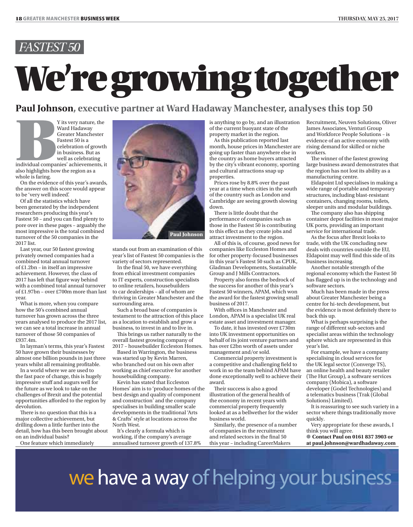# **Paul Johnson**, executive partner at Ward Hadaway Manchester, analyses this top 50

# **Paul Johnson, executive partner at Ward Hadaway Manchester, analyses this top 50**<br>
Y its very nature, the<br>
Ward Hadaway<br>
Ward Hadaway<br>
Ward Hadaway<br>
of the current buoyant state of the<br>
property market in the region.<br>
The

Ward Hadaway Greater Manchester Fastest 50 is a celebration of growth in business. But as well as celebrating

individual companies' achievements, it also highlights how the region as a whole is faring.

On the evidence of this year's awards, the answer on this score would appear to be 'very well indeed'.

Of all the statistics which have been generated by the independent researchers producing this year's Fastest 50 – and you can find plenty to pore over in these pages – arguably the most impressive is the total combined turnover of the 50 companies in the 2017 list.

Last year, our 50 fastest growing privately owned companies had a combined total annual turnover of £1.2bn – in itself an impressive achievement. However, the class of 2017 has left that figure way behind with a combined total annual turnover of £1.97bn – over £700m more than last year.

What is more, when you compare how the 50's combined annual turnover has grown across the three years analysed to produce the 2017 list, we can see a total increase in annual turnover of those 50 companies of £937.4m.

In layman's terms, this year's Fastest 50 have grown their businesses by almost one billion pounds in just three years whilst all remaining profitable.

In a world where we are used to the fast pace of change, this is hugely impressive stuff and augurs well for the future as we look to take on the challenges of Brexit and the potential opportunities afforded to the region by devolution.

There is no question that this is a major collective achievement, but drilling down a little further into the detail, how has this been brought about on an individual basis?

One feature which immediately



stands out from an examination of this year's list of Fastest 50 companies is the variety of sectors represented.

In the final 50, we have everything from ethical investment companies to IT experts, construction specialists to online retailers, housebuilders to car dealerships – all of whom are thriving in Greater Manchester and the surrounding area.

Such a broad base of companies is testament to the attraction of this place as a location to establish and grow a business, to invest in and to live in.

This brings us rather naturally to the overall fastest growing company of 2017 – housebuilder Eccleston Homes.

Based in Warrington, the business was started up by Kevin Marren, who branched out on his own after working as chief executive for another housebuilding company.

Kevin has stated that Eccleston Homes' aim is to 'produce homes of the best design and quality of component and construction' and the company specialises in building smaller scale developments in the traditional 'Arts & Crafts' style at locations across the North West.

It's clearly a formula which is working, if the company's average annualised turnover growth of 137.8% is anything to go by, and an illustration of the current buoyant state of the property market in the region.

As this publication reported last month, house prices in Manchester are going up faster than anywhere else in the country as home buyers attracted by the city's vibrant economy, sporting and cultural attractions snap up properties.

Prices rose by 8.8% over the past year at a time when cities in the south of the country such as London and Cambridge are seeing growth slowing down.

There is little doubt that the performance of companies such as those in the Fastest 50 is contributing to this effect as they create jobs and attract investment to the region.

All of this is, of course, good news for companies like Eccleston Homes and for other property-focused businesses in this year's Fastest 50 such as CPUK, Gladman Developments, Sustainable Group and J Mills Contractors.

Property also forms the bedrock of the success for another of this year's Fastest 50 winners, APAM, which won the award for the fastest growing small business of 2017.

With offices in Manchester and London, APAM is a specialist UK real estate asset and investment manager.

To date, it has invested over £730m into UK investment opportunities on behalf of its joint venture partners and has over £2bn worth of assets under management and/or sold.

Commercial property investment is a competitive and challenging field to work in so the team behind APAM have done exceptionally well to achieve their award.

Their success is also a good illustration of the general health of the economy in recent years with commercial property frequently looked at as a bellwether for the wider business world.

Similarly, the presence of a number of companies in the recruitment and related sectors in the final 50 this year – including CareerMakers

Recruitment, Neuven Solutions, Oliver James Associates, Venturi Group and Workforce People Solutions – is evidence of an active economy with rising demand for skilled or niche workers.

The winner of the fastest growing large business award demonstrates that the region has not lost its ability as a manufacturing centre.

Eldapoint Ltd specialises in making a wide range of portable and temporary structures, including blast-resistant containers, changing rooms, toilets, sleeper units and modular buildings.

The company also has shipping container depot facilities in most major UK ports, providing an important service for international trade.

As the focus after Brexit looks to trade, with the UK concluding new deals with countries outside the EU, Eldapoint may well find this side of its business increasing.

Another notable strength of the regional economy which the Fastest 50 has flagged up is in the technology and software sectors.

Much has been made in the press about Greater Manchester being a centre for hi-tech development, but the evidence is most definitely there to back this up.

What is perhaps surprising is the range of different sub-sectors and specialist areas within the technology sphere which are represented in this year's list.

For example, we have a company specialising in cloud services for the UK legal sector (Converge TS), an online health and beauty retailer (The Hut Group), a software services company (Mobica), a software developer (Godel Technologies) and a telematics business (Trak (Global Solutions) Limited).

It is reassuring to see such variety in a sector where things traditionally move quickly.

Very appropriate for these awards, I think you will agree.

● **Contact Paul on 0161 837 3903 or at paul.johnson@wardhadaway.com**

we have a way of helping your business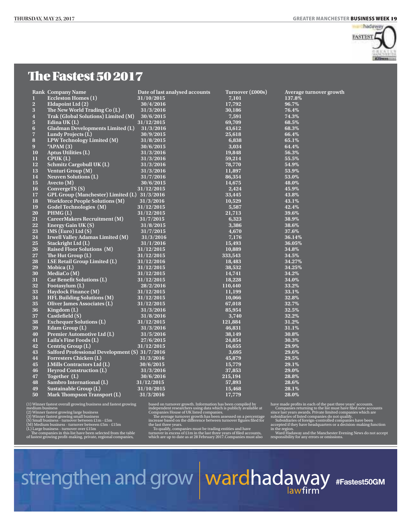

### The Fastest 50 2017

|                         | <b>Rank Company Name</b>                       | Date of last analysed accounts | Turnover (£000s) | Average turnover growth |
|-------------------------|------------------------------------------------|--------------------------------|------------------|-------------------------|
| $\bf{l}$                | <b>Eccleston Homes (1)</b>                     | 31/10/2015                     | 7,101            | 137.8%                  |
| $\overline{2}$          | Eldapoint Ltd (2)                              | 30/4/2016                      | 17,792           | 96.7%                   |
| 3                       | The New World Trading Co (L)                   | 31/3/2016                      | 30,186           | 76.4%                   |
| $\overline{\mathbf{4}}$ | Trak (Global Solutions) Limited (M)            | 30/6/2015                      | 7,591            | 74.3%                   |
| $\overline{\mathbf{5}}$ | Edina UK(L)                                    | 31/12/2015                     | 69,709           | 68.5%                   |
| $6\phantom{1}6$         | <b>Gladman Developments Limited (L)</b>        | 31/3/2016                      | 43,612           | 68.3%                   |
| $\overline{7}$          | Lundy Projects (L)                             | 30/9/2015                      | 25,618           | 66.4%                   |
| 8                       | LPW Technology Limited (M)                     | 31/8/2015                      | 6,838            | 65.1%                   |
| 9 <sup>°</sup>          | " $APAM(3)$                                    | 30/6/2015                      | 3,034            | 64.4%                   |
| 10                      | <b>Aptus Utilities (L)</b>                     | 31/3/2016                      | 19,848           | 56.3%                   |
| 11                      | CPUK(L)                                        | 31/3/2016                      | 59,214           | 55.5%                   |
| 12                      | <b>Schmitz Cargobull UK (L)</b>                | 31/3/2016                      | 78,770           | 54.9%                   |
| 13                      | Venturi Group (M)                              | 31/3/2016                      | 11,897           | 53.9%                   |
| 14                      | <b>Neuven Solutions (L)</b>                    | 31/7/2016                      | 86,354           | 53.0%                   |
| 15                      | Avecto $(M)$                                   | 30/6/2015                      | 14,675           | 48.0%                   |
| 16                      | ConvergeTS (S)                                 | 31/12/2015                     | 2,424            | 45.9%                   |
| 17                      | GPL Group (Manchester) Limited (L) 31/3/2016   |                                | 33,445           | 43.8%                   |
| 18                      | <b>Workforce People Solutions (M)</b>          | 31/3/2016                      | 10,529           | 43.1%                   |
| 19                      | <b>Godel Technologies (M)</b>                  | 31/12/2015                     | 5,587            | 42.4%                   |
| 20                      | PHMG(L)                                        | 31/12/2015                     | 21,713           | 39.6%                   |
| 21                      | CareerMakers Recruitment (M)                   | 31/7/2015                      | 6,323            | 38.9%                   |
| 22                      | <b>Energy Gain UK (S)</b>                      | 31/8/2015                      | 3,386            | 38.6%                   |
| 23                      | IMS (Euro) Ltd (S)                             | 31/7/2015                      | 4,670            | 37.6%                   |
| 24                      | <b>Irwell Valley Adamas Limited (M)</b>        | 31/3/2016                      | 7,176            | 36.14%                  |
| 25                      | Stackright Ltd (L)                             | 31/1/2016                      | 15,493           | 36.05%                  |
| 26                      | <b>Raised Floor Solutions (M)</b>              | 31/12/2015                     | 10,889           | 34.8%                   |
| 27                      | The Hut Group (L)                              | 31/12/2015                     | 333,543          | 34.5%                   |
| 28                      | <b>LSE Retail Group Limited (L)</b>            | 31/12/2016                     | 18,483           | 34.27%                  |
| 29                      | Mobica (L)                                     | 31/12/2015                     | 38,532           | 34.25%                  |
| 30                      | MediaCo (M)                                    | 31/12/2015                     | 14,741           | 34.2%                   |
| 31                      | <b>Car Benefit Solutions (L)</b>               | 31/12/2015                     | 18,228           | 34.0%                   |
| 32                      | Footasylum (L)                                 | 28/2/2016                      | 110,440          | 33.2%                   |
| 33                      | <b>Haydock Finance (M)</b>                     | 31/12/2015                     | 11,199           | 33.1%                   |
| 34                      | <b>HFL Building Solutions (M)</b>              | 31/12/2015                     | 10,066           | 32.8%                   |
| 35                      | <b>Oliver James Associates (L)</b>             | 31/12/2015                     | 67,018           | 32.7%                   |
| 36                      | Kingdom (L)                                    | 31/3/2016                      | 85,954           | 32.5%                   |
| 37                      | Castlefield (S)                                | 31/8/2016                      | 3,740            | 32.2%                   |
| 38                      | <b>Exchequer Solutions (L)</b>                 | 31/12/2015                     | 121,884          | 31.2%                   |
| 39                      | Edam Group $(L)$                               | 31/3/2016                      | 46,831           | 31.1%                   |
| 40                      | Premier Automotive Ltd (L)                     | 31/5/2016                      | 38,149           | 30.8%                   |
| 41                      | Laila's Fine Foods (L)                         | 27/6/2015                      | 24,854           | 30.3%                   |
| 42                      | Centriq Group (L)                              | 31/12/2015                     | 16,655           | 29.9%                   |
| 43                      | Salford Professional Development (S) 31/7/2016 |                                | 3,695            | 29.6%                   |
| 44                      | <b>Forresters Chicken (L)</b>                  | 31/3/2016                      | 45,879           | 29.5%                   |
| 45                      | <b>J.Mills Contractors Ltd (L)</b>             | 30/6/2015                      | 15,779           | 29.1%                   |
| 46                      | <b>Heyrod Construction (L)</b>                 | 31/3/2016                      | 37,853           | 29.0%                   |
| 47                      | Together (L)                                   | 30/6/2016                      | 215,194          | 28.8%                   |
| 48                      | Sambro International (L)                       | 31/12/2015                     | 57,893           | 28.6%                   |
| 49                      | Sustainable Group (L)                          | 31/10/2015                     | 15,468           | 28.1%                   |
| 50                      | Mark Thompson Transport (L)                    | 31/3/2016                      | 17,779           | 28.0%                   |
|                         |                                                |                                |                  |                         |

(1) Winner fastest overall growing business and fastest growing<br>medium business<br>(2) Winner fastest growing large business<br>(3) Winner fastest growing small business<br>(8) Small business - turnover between £1m - £5m<br>(M) Medium

based on turnover growth. Information has been compiled by<br>independent researchers using data which is publicly available at<br>Companies House of UK listed companies.<br>The average turnover growth has been assessed on a percen

have made profits in each of the past three years' accounts.<br>Companies returning to the list must have filed new accounts<br>since last years awards. Private limited companies which are<br>subsidiaries of listed companies do not

strengthen and grow wardhadaway #Fastest50GM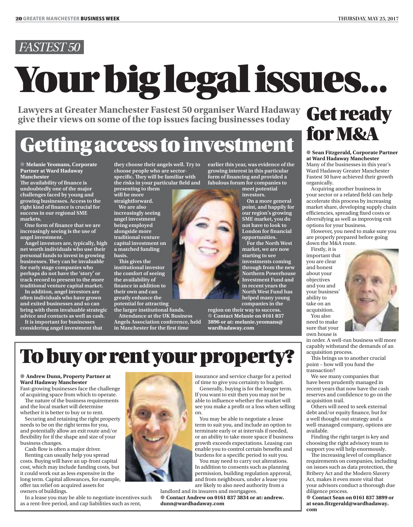# Your big legal issues...

Lawyers at Greater Manchester Fastest 50 organiser Ward Hadaway **Get ready**<br>give their views on some of the top issues facing businesses today **Get ready** 

## for M&A Getting access to investment

● **Melanie Yeomans, Corporate Partner at Ward Hadaway Manchester**

The availability of finance is undoubtedly one of the major challenges faced by young and growing businesses. Access to the right kind of finance is crucial for success in our regional SME markets.

One form of finance that we are increasingly seeing is the use of angel investment.

Angel investors are, typically, high net worth individuals who use their personal funds to invest in growing businesses. They can be invaluable for early stage companies who perhaps do not have the 'story' or track record to present to the more traditional venture capital market.

In addition, angel investors are often individuals who have grown and exited businesses and so can bring with them invaluable strategic advice and contacts as well as cash.

It is important for businesses considering angel investment that they choose their angels well. Try to choose people who are sectorspecific. They will be familiar with the risks in your particular field and presenting to them

will be more straightforward.

We are also increasingly seeing angel investment being employed alongside more traditional venture capital investment on a matched funding

basis. This gives the institutional investor the comfort of seeing the availability of

finance in addition to their own and can greatly enhance the potential for attracting the larger institutional funds.

Attendance at the UK Business Angels Association conference, held in Manchester for the first time

earlier this year, was evidence of the growing interest in this particular form of financing and provided a fabulous forum for companies to

meet potential investors.

On a more general point, and happily for our region's growing SME market, you do not have to look to London for financial opportunities.

For the North West market, we are now starting to see investments coming through from the new Northern Powerhouse Investment Fund and in recent years the North West Fund has helped many young companies in the

region on their way to success. ● **Contact Melanie on 0161 837 3896 or at: melanie.yeomans@ wardhadaway.com**

● **Sean Fitzgerald, Corporate Partner at Ward Hadaway Manchester** Many of the businesses in this year's Ward Hadaway Greater Manchester Fastest 50 have achieved their growth organically.

Acquiring another business in your sector or a related field can help accelerate this process by increasing market share, developing supply chain efficiencies, spreading fixed costs or diversifying as well as improving exit options for your business.

However, you need to make sure you are properly prepared before going down the M&A route.

Firstly, it is important that you are clear and honest about your objectives and you and your business' ability to take on an

acquisition. You also need to make sure that your own house is

in order. A well-run business will more capably withstand the demands of an acquisition process.

This brings us to another crucial point – how will you fund the transaction?

We see many companies that have been prudently managed in recent years that now have the cash reserves and confidence to go on the acquisition trail.

Others will need to seek external debt and/or equity finance, but for a well thought-out strategy and a well-managed company, options are available.

Finding the right target is key and choosing the right advisory team to support you will help enormously.

The increasing level of compliance requirements on companies, including on issues such as data protection, the Bribery Act and the Modern Slavery Act, makes it even more vital that your advisors conduct a thorough due diligence process.

● **Contact Sean on 0161 837 3899 or at sean.fitzgerald@wardhadaway. com**

## To buy or rent your property?

### ● **Andrew Dunn, Property Partner at Ward Hadaway Manchester**

Fast-growing businesses face the challenge of acquiring space from which to operate.

The nature of the business requirements and the local market will determine whether it is better to buy or to rent.

Securing and retaining the right property needs to be on the right terms for you, and potentially allow an exit route and/or flexibility for if the shape and size of your business changes.

Cash flow is often a major driver. Renting can usually help you spread costs. Buying will have an up-front capital cost, which may include funding costs, but it could work out as less expensive in the long term. Capital allowances, for example, offer tax relief on acquired assets for owners of buildings.

In a lease you may be able to negotiate incentives such as a rent-free period, and cap liabilities such as rent,



of time to give you certainty to budget. Generally, buying is for the longer term.

If you want to exit then you may not be able to influence whether the market will see you make a profit or a loss when selling

You may be able to negotiate a lease term to suit you, and include an option to terminate early or at intervals if needed, or an ability to take more space if business growth exceeds expectations. Leasing can enable you to control certain benefits and burdens for a specific period to suit you.

You may need to carry out alterations. In addition to consents such as planning permission, building regulation approval, and from neighbours, under a lease you are likely to also need authority from a

landlord and its insurers and mortgagees. ● **Contact Andrew on 0161 837 3834 or at: andrew. dunn@wardhadaway.com**